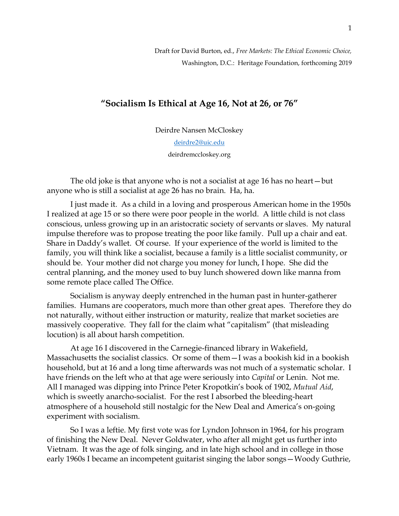Draft for David Burton, ed., *Free Markets: The Ethical Economic Choice,*  Washington, D.C.:Heritage Foundation, forthcoming 2019

## **"Socialism Is Ethical at Age 16, Not at 26, or 76"**

Deirdre Nansen McCloskey

[deirdre2@uic.edu](mailto:deirdre2@uic.edu) deirdremccloskey.org

The old joke is that anyone who is not a socialist at age 16 has no heart—but anyone who is still a socialist at age 26 has no brain. Ha, ha.

I just made it. As a child in a loving and prosperous American home in the 1950s I realized at age 15 or so there were poor people in the world. A little child is not class conscious, unless growing up in an aristocratic society of servants or slaves. My natural impulse therefore was to propose treating the poor like family. Pull up a chair and eat. Share in Daddy's wallet. Of course. If your experience of the world is limited to the family, you will think like a socialist, because a family is a little socialist community, or should be. Your mother did not charge you money for lunch, I hope. She did the central planning, and the money used to buy lunch showered down like manna from some remote place called The Office.

Socialism is anyway deeply entrenched in the human past in hunter-gatherer families. Humans are cooperators, much more than other great apes. Therefore they do not naturally, without either instruction or maturity, realize that market societies are massively cooperative. They fall for the claim what "capitalism" (that misleading locution) is all about harsh competition.

At age 16 I discovered in the Carnegie-financed library in Wakefield, Massachusetts the socialist classics. Or some of them—I was a bookish kid in a bookish household, but at 16 and a long time afterwards was not much of a systematic scholar. I have friends on the left who at that age were seriously into *Capital* or Lenin. Not me. All I managed was dipping into Prince Peter Kropotkin's book of 1902, *Mutual Aid*, which is sweetly anarcho-socialist. For the rest I absorbed the bleeding-heart atmosphere of a household still nostalgic for the New Deal and America's on-going experiment with socialism.

So I was a leftie. My first vote was for Lyndon Johnson in 1964, for his program of finishing the New Deal. Never Goldwater, who after all might get us further into Vietnam. It was the age of folk singing, and in late high school and in college in those early 1960s I became an incompetent guitarist singing the labor songs—Woody Guthrie,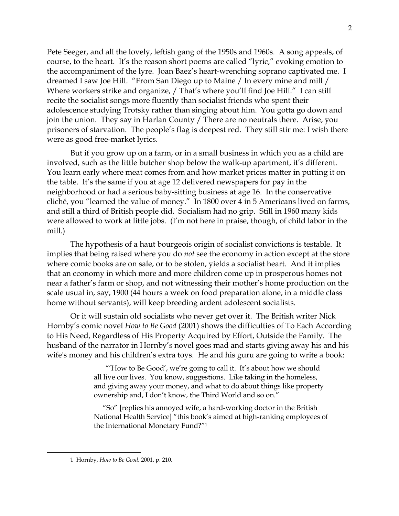Pete Seeger, and all the lovely, leftish gang of the 1950s and 1960s. A song appeals, of course, to the heart. It's the reason short poems are called "lyric," evoking emotion to the accompaniment of the lyre. Joan Baez's heart-wrenching soprano captivated me. I dreamed I saw Joe Hill. "From San Diego up to Maine / In every mine and mill / Where workers strike and organize, / That's where you'll find Joe Hill." I can still recite the socialist songs more fluently than socialist friends who spent their adolescence studying Trotsky rather than singing about him. You gotta go down and join the union. They say in Harlan County / There are no neutrals there. Arise, you prisoners of starvation. The people's flag is deepest red. They still stir me: I wish there were as good free-market lyrics.

But if you grow up on a farm, or in a small business in which you as a child are involved, such as the little butcher shop below the walk-up apartment, it's different. You learn early where meat comes from and how market prices matter in putting it on the table. It's the same if you at age 12 delivered newspapers for pay in the neighborhood or had a serious baby-sitting business at age 16. In the conservative cliché, you "learned the value of money." In 1800 over 4 in 5 Americans lived on farms, and still a third of British people did. Socialism had no grip. Still in 1960 many kids were allowed to work at little jobs. (I'm not here in praise, though, of child labor in the mill.)

The hypothesis of a haut bourgeois origin of socialist convictions is testable. It implies that being raised where you do *not* see the economy in action except at the store where comic books are on sale, or to be stolen, yields a socialist heart. And it implies that an economy in which more and more children come up in prosperous homes not near a father's farm or shop, and not witnessing their mother's home production on the scale usual in, say, 1900 (44 hours a week on food preparation alone, in a middle class home without servants), will keep breeding ardent adolescent socialists.

Or it will sustain old socialists who never get over it. The British writer Nick Hornby's comic novel *How to Be Good* (2001) shows the difficulties of To Each According to His Need, Regardless of His Property Acquired by Effort, Outside the Family. The husband of the narrator in Hornby's novel goes mad and starts giving away his and his wife's money and his children's extra toys. He and his guru are going to write a book:

> "'How to Be Good', we're going to call it. It's about how we should all live our lives. You know, suggestions. Like taking in the homeless, and giving away your money, and what to do about things like property ownership and, I don't know, the Third World and so on."

 "So" [replies his annoyed wife, a hard-working doctor in the British National Health Service] "this book's aimed at high-ranking employees of the International Monetary Fund?"<sup>1</sup>

<sup>2</sup>

<sup>1</sup> Hornby, *How to Be Good,* 2001, p. 210.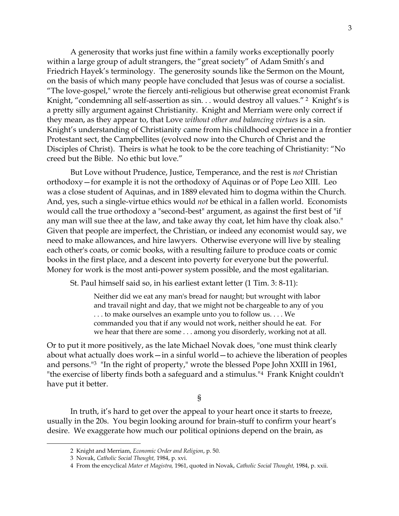A generosity that works just fine within a family works exceptionally poorly within a large group of adult strangers, the "great society" of Adam Smith's and Friedrich Hayek's terminology. The generosity sounds like the Sermon on the Mount, on the basis of which many people have concluded that Jesus was of course a socialist. "The love-gospel," wrote the fiercely anti-religious but otherwise great economist Frank Knight, "condemning all self-assertion as sin. . . would destroy all values." <sup>2</sup> Knight's is a pretty silly argument against Christianity. Knight and Merriam were only correct if they mean, as they appear to, that Love *without other and balancing virtues* is a sin. Knight's understanding of Christianity came from his childhood experience in a frontier Protestant sect, the Campbellites (evolved now into the Church of Christ and the Disciples of Christ). Theirs is what he took to be the core teaching of Christianity: "No creed but the Bible. No ethic but love."

But Love without Prudence, Justice, Temperance, and the rest is *not* Christian orthodoxy—for example it is not the orthodoxy of Aquinas or of Pope Leo XIII. Leo was a close student of Aquinas, and in 1889 elevated him to dogma within the Church. And, yes, such a single-virtue ethics would *not* be ethical in a fallen world. Economists would call the true orthodoxy a "second-best" argument, as against the first best of "if any man will sue thee at the law, and take away thy coat, let him have thy cloak also." Given that people are imperfect, the Christian, or indeed any economist would say, we need to make allowances, and hire lawyers. Otherwise everyone will live by stealing each other's coats, or comic books, with a resulting failure to produce coats or comic books in the first place, and a descent into poverty for everyone but the powerful. Money for work is the most anti-power system possible, and the most egalitarian.

St. Paul himself said so, in his earliest extant letter (1 Tim. 3: 8-11):

Neither did we eat any man's bread for naught; but wrought with labor and travail night and day, that we might not be chargeable to any of you . . . to make ourselves an example unto you to follow us. . . . We commanded you that if any would not work, neither should he eat. For we hear that there are some . . . among you disorderly, working not at all.

Or to put it more positively, as the late Michael Novak does, "one must think clearly about what actually does work—in a sinful world—to achieve the liberation of peoples and persons."3 "In the right of property," wrote the blessed Pope John XXIII in 1961, "the exercise of liberty finds both a safeguard and a stimulus."4 Frank Knight couldn't have put it better.

§

In truth, it's hard to get over the appeal to your heart once it starts to freeze, usually in the 20s. You begin looking around for brain-stuff to confirm your heart's desire. We exaggerate how much our political opinions depend on the brain, as

<sup>2</sup> Knight and Merriam, *Economic Order and Religion*, p. 50.

<sup>3</sup> Novak, *Catholic Social Thought,* 1984, p. xvi.

<sup>4</sup> From the encyclical *Mater et Magistra,* 1961, quoted in Novak, *Catholic Social Thought,* 1984, p. xxii.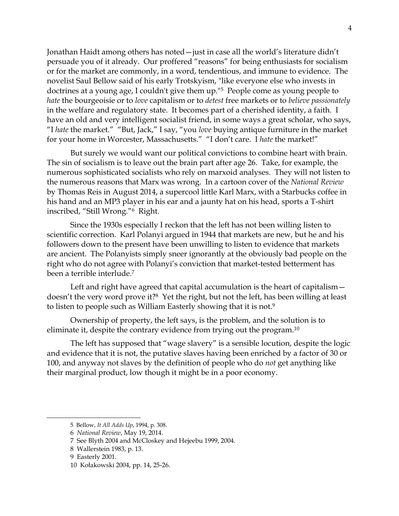Jonathan Haidt among others has noted—just in case all the world's literature didn't persuade you of it already. Our proffered "reasons" for being enthusiasts for socialism or for the market are commonly, in a word, tendentious, and immune to evidence. The novelist Saul Bellow said of his early Trotskyism, "like everyone else who invests in doctrines at a young age, I couldn't give them up."5 People come as young people to *hate* the bourgeoisie or to *love* capitalism or to *detest* free markets or to *believe passionately*  in the welfare and regulatory state. It becomes part of a cherished identity, a faith. I have an old and very intelligent socialist friend, in some ways a great scholar, who says, "I *hate* the market." "But, Jack," I say, "you *love* buying antique furniture in the market for your home in Worcester, Massachusetts." "I don't care. I *hate* the market!"

But surely we would want our political convictions to combine heart with brain. The sin of socialism is to leave out the brain part after age 26. Take, for example, the numerous sophisticated socialists who rely on marxoid analyses. They will not listen to the numerous reasons that Marx was wrong. In a cartoon cover of the *National Review* by Thomas Reis in August 2014, a supercool little Karl Marx, with a Starbucks coffee in his hand and an MP3 player in his ear and a jaunty hat on his head, sports a T-shirt inscribed, "Still Wrong."6 Right.

Since the 1930s especially I reckon that the left has not been willing listen to scientific correction. Karl Polanyi argued in 1944 that markets are new, but he and his followers down to the present have been unwilling to listen to evidence that markets are ancient. The Polanyists simply sneer ignorantly at the obviously bad people on the right who do not agree with Polanyi's conviction that market-tested betterment has been a terrible interlude.<sup>7</sup>

Left and right have agreed that capital accumulation is the heart of capitalism doesn't the very word prove it?<sup>8</sup> Yet the right, but not the left, has been willing at least to listen to people such as William Easterly showing that it is not.<sup>9</sup>

Ownership of property, the left says, is the problem, and the solution is to eliminate it, despite the contrary evidence from trying out the program.<sup>10</sup>

The left has supposed that "wage slavery" is a sensible locution, despite the logic and evidence that it is not, the putative slaves having been enriched by a factor of 30 or 100, and anyway not slaves by the definition of people who do *not* get anything like their marginal product, low though it might be in a poor economy.

<sup>5</sup> Bellow, *It All Adds Up*, 1994, p. 308.

<sup>6</sup> *National Review*, May 19, 2014.

<sup>7</sup> See Blyth 2004 and McCloskey and Hejeebu 1999, 2004.

<sup>8</sup> Wallerstein 1983, p. 13.

<sup>9</sup> Easterly 2001.

<sup>10</sup> Kołakowski 2004, pp. 14, 25-26.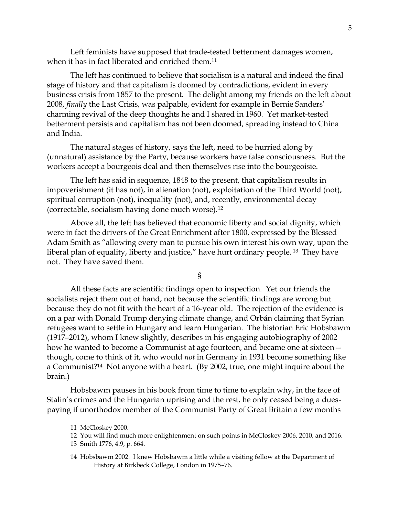Left feminists have supposed that trade-tested betterment damages women, when it has in fact liberated and enriched them.<sup>11</sup>

The left has continued to believe that socialism is a natural and indeed the final stage of history and that capitalism is doomed by contradictions, evident in every business crisis from 1857 to the present. The delight among my friends on the left about 2008, *finally* the Last Crisis, was palpable, evident for example in Bernie Sanders' charming revival of the deep thoughts he and I shared in 1960. Yet market-tested betterment persists and capitalism has not been doomed, spreading instead to China and India.

The natural stages of history, says the left, need to be hurried along by (unnatural) assistance by the Party, because workers have false consciousness. But the workers accept a bourgeois deal and then themselves rise into the bourgeoisie.

The left has said in sequence, 1848 to the present, that capitalism results in impoverishment (it has not), in alienation (not), exploitation of the Third World (not), spiritual corruption (not), inequality (not), and, recently, environmental decay (correctable, socialism having done much worse).<sup>12</sup>

Above all, the left has believed that economic liberty and social dignity, which were in fact the drivers of the Great Enrichment after 1800, expressed by the Blessed Adam Smith as "allowing every man to pursue his own interest his own way, upon the liberal plan of equality, liberty and justice," have hurt ordinary people.<sup>13</sup> They have not. They have saved them.

§

All these facts are scientific findings open to inspection. Yet our friends the socialists reject them out of hand, not because the scientific findings are wrong but because they do not fit with the heart of a 16-year old. The rejection of the evidence is on a par with Donald Trump denying climate change, and Orbán claiming that Syrian refugees want to settle in Hungary and learn Hungarian. The historian Eric Hobsbawm (1917–2012), whom I knew slightly, describes in his engaging autobiography of 2002 how he wanted to become a Communist at age fourteen, and became one at sixteen – though, come to think of it, who would *not* in Germany in 1931 become something like a Communist?14 Not anyone with a heart. (By 2002, true, one might inquire about the brain.)

Hobsbawm pauses in his book from time to time to explain why, in the face of Stalin's crimes and the Hungarian uprising and the rest, he only ceased being a duespaying if unorthodox member of the Communist Party of Great Britain a few months

<sup>11</sup> McCloskey 2000.

<sup>12</sup> You will find much more enlightenment on such points in McCloskey 2006, 2010, and 2016.

<sup>13</sup> Smith 1776, 4.9, p. 664.

<sup>14</sup> Hobsbawm 2002. I knew Hobsbawm a little while a visiting fellow at the Department of History at Birkbeck College, London in 1975–76.